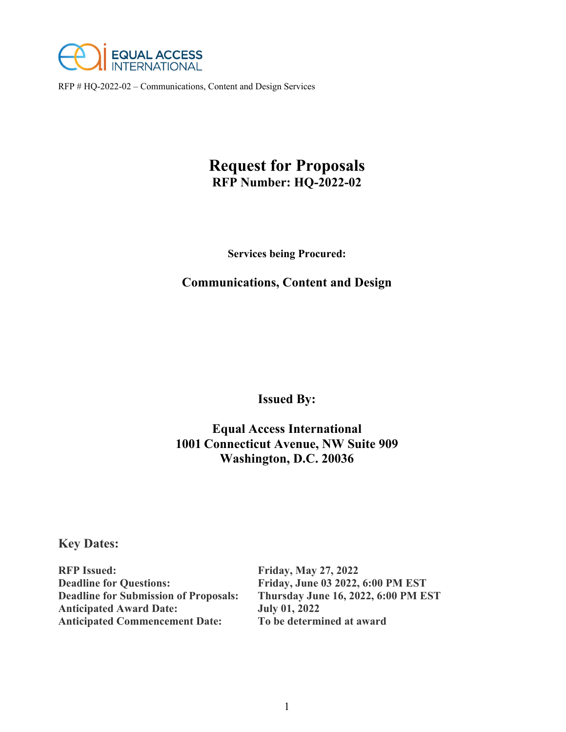

# **Request for Proposals RFP Number: HQ-2022-02**

**Services being Procured:** 

# **Communications, Content and Design**

**Issued By:** 

# **Equal Access International 1001 Connecticut Avenue, NW Suite 909 Washington, D.C. 20036**

**Key Dates:** 

**RFP Issued: Friday, May 27, 2022 Deadline for Questions: Friday, June 03 2022, 6:00 PM EST Deadline for Submission of Proposals: Thursday June 16, 2022, 6:00 PM EST Anticipated Award Date: July 01, 2022 Anticipated Commencement Date: To be determined at award**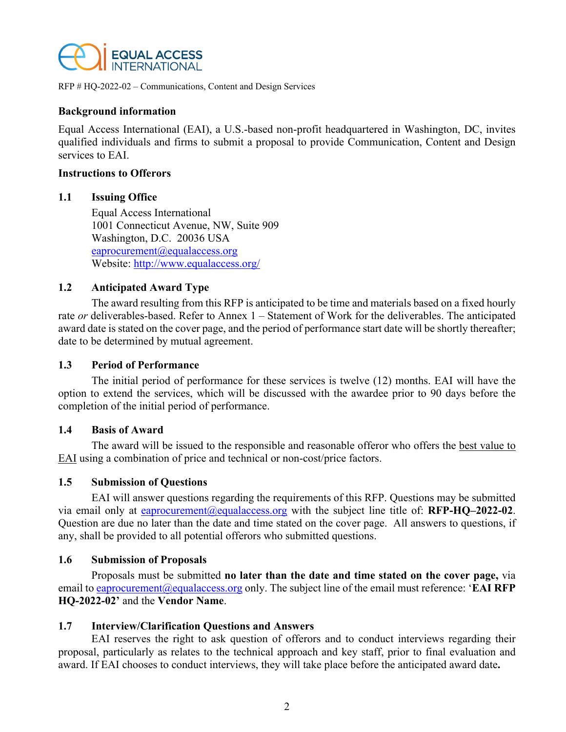

#### **Background information**

Equal Access International (EAI), a U.S.-based non-profit headquartered in Washington, DC, invites qualified individuals and firms to submit a proposal to provide Communication, Content and Design services to EAI.

#### **Instructions to Offerors**

#### **1.1 Issuing Office**

Equal Access International 1001 Connecticut Avenue, NW, Suite 909 Washington, D.C. 20036 USA eaprocurement@equalaccess.org Website: http://www.equalaccess.org/

### **1.2 Anticipated Award Type**

The award resulting from this RFP is anticipated to be time and materials based on a fixed hourly rate *or* deliverables-based. Refer to Annex 1 – Statement of Work for the deliverables. The anticipated award date is stated on the cover page, and the period of performance start date will be shortly thereafter; date to be determined by mutual agreement.

#### **1.3 Period of Performance**

The initial period of performance for these services is twelve (12) months. EAI will have the option to extend the services, which will be discussed with the awardee prior to 90 days before the completion of the initial period of performance.

#### **1.4 Basis of Award**

The award will be issued to the responsible and reasonable offeror who offers the best value to EAI using a combination of price and technical or non-cost/price factors.

### **1.5 Submission of Questions**

EAI will answer questions regarding the requirements of this RFP. Questions may be submitted via email only at eaprocurement@equalaccess.org with the subject line title of: **RFP-HQ–2022-02**. Question are due no later than the date and time stated on the cover page. All answers to questions, if any, shall be provided to all potential offerors who submitted questions.

#### **1.6 Submission of Proposals**

Proposals must be submitted **no later than the date and time stated on the cover page,** via email to eaprocurement@equalaccess.org only. The subject line of the email must reference: '**EAI RFP HQ-2022-02'** and the **Vendor Name**.

#### **1.7 Interview/Clarification Questions and Answers**

EAI reserves the right to ask question of offerors and to conduct interviews regarding their proposal, particularly as relates to the technical approach and key staff, prior to final evaluation and award. If EAI chooses to conduct interviews, they will take place before the anticipated award date**.**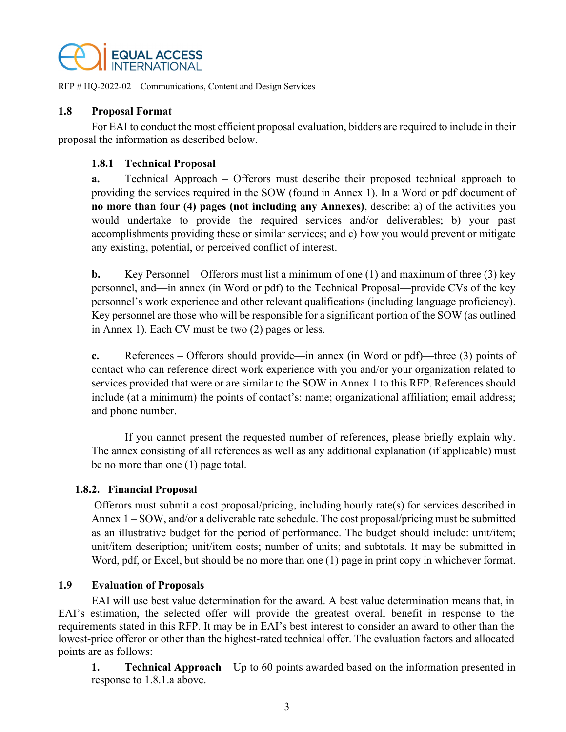

### **1.8 Proposal Format**

For EAI to conduct the most efficient proposal evaluation, bidders are required to include in their proposal the information as described below.

# **1.8.1 Technical Proposal**

**a.** Technical Approach – Offerors must describe their proposed technical approach to providing the services required in the SOW (found in Annex 1). In a Word or pdf document of **no more than four (4) pages (not including any Annexes)**, describe: a) of the activities you would undertake to provide the required services and/or deliverables; b) your past accomplishments providing these or similar services; and c) how you would prevent or mitigate any existing, potential, or perceived conflict of interest.

**b.** Key Personnel – Offerors must list a minimum of one (1) and maximum of three (3) key personnel, and—in annex (in Word or pdf) to the Technical Proposal—provide CVs of the key personnel's work experience and other relevant qualifications (including language proficiency). Key personnel are those who will be responsible for a significant portion of the SOW (as outlined in Annex 1). Each CV must be two (2) pages or less.

**c.** References – Offerors should provide—in annex (in Word or pdf)—three (3) points of contact who can reference direct work experience with you and/or your organization related to services provided that were or are similar to the SOW in Annex 1 to this RFP. References should include (at a minimum) the points of contact's: name; organizational affiliation; email address; and phone number.

If you cannot present the requested number of references, please briefly explain why. The annex consisting of all references as well as any additional explanation (if applicable) must be no more than one (1) page total.

### **1.8.2. Financial Proposal**

 Offerors must submit a cost proposal/pricing, including hourly rate(s) for services described in Annex 1 – SOW, and/or a deliverable rate schedule. The cost proposal/pricing must be submitted as an illustrative budget for the period of performance. The budget should include: unit/item; unit/item description; unit/item costs; number of units; and subtotals. It may be submitted in Word, pdf, or Excel, but should be no more than one (1) page in print copy in whichever format.

# **1.9 Evaluation of Proposals**

EAI will use best value determination for the award. A best value determination means that, in EAI's estimation, the selected offer will provide the greatest overall benefit in response to the requirements stated in this RFP. It may be in EAI's best interest to consider an award to other than the lowest-price offeror or other than the highest-rated technical offer. The evaluation factors and allocated points are as follows:

**1. Technical Approach** – Up to 60 points awarded based on the information presented in response to 1.8.1.a above.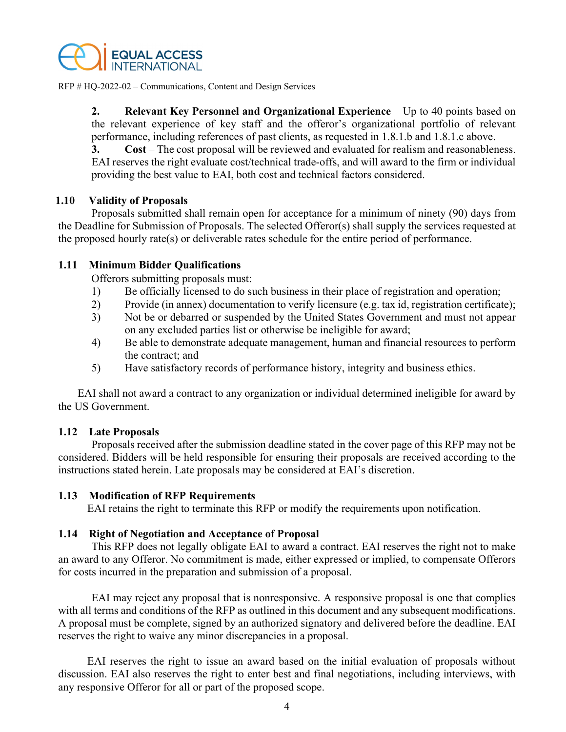

**2. Relevant Key Personnel and Organizational Experience** – Up to 40 points based on the relevant experience of key staff and the offeror's organizational portfolio of relevant performance, including references of past clients, as requested in 1.8.1.b and 1.8.1.c above.

**3. Cost** – The cost proposal will be reviewed and evaluated for realism and reasonableness. EAI reserves the right evaluate cost/technical trade-offs, and will award to the firm or individual providing the best value to EAI, both cost and technical factors considered.

#### **1.10 Validity of Proposals**

Proposals submitted shall remain open for acceptance for a minimum of ninety (90) days from the Deadline for Submission of Proposals. The selected Offeror(s) shall supply the services requested at the proposed hourly rate(s) or deliverable rates schedule for the entire period of performance.

#### **1.11 Minimum Bidder Qualifications**

Offerors submitting proposals must:

- 1) Be officially licensed to do such business in their place of registration and operation;
- 2) Provide (in annex) documentation to verify licensure (e.g. tax id, registration certificate);
- 3) Not be or debarred or suspended by the United States Government and must not appear on any excluded parties list or otherwise be ineligible for award;
- 4) Be able to demonstrate adequate management, human and financial resources to perform the contract; and
- 5) Have satisfactory records of performance history, integrity and business ethics.

EAI shall not award a contract to any organization or individual determined ineligible for award by the US Government.

#### **1.12 Late Proposals**

Proposals received after the submission deadline stated in the cover page of this RFP may not be considered. Bidders will be held responsible for ensuring their proposals are received according to the instructions stated herein. Late proposals may be considered at EAI's discretion.

#### **1.13 Modification of RFP Requirements**

EAI retains the right to terminate this RFP or modify the requirements upon notification.

### **1.14 Right of Negotiation and Acceptance of Proposal**

This RFP does not legally obligate EAI to award a contract. EAI reserves the right not to make an award to any Offeror. No commitment is made, either expressed or implied, to compensate Offerors for costs incurred in the preparation and submission of a proposal.

EAI may reject any proposal that is nonresponsive. A responsive proposal is one that complies with all terms and conditions of the RFP as outlined in this document and any subsequent modifications. A proposal must be complete, signed by an authorized signatory and delivered before the deadline. EAI reserves the right to waive any minor discrepancies in a proposal.

EAI reserves the right to issue an award based on the initial evaluation of proposals without discussion. EAI also reserves the right to enter best and final negotiations, including interviews, with any responsive Offeror for all or part of the proposed scope.